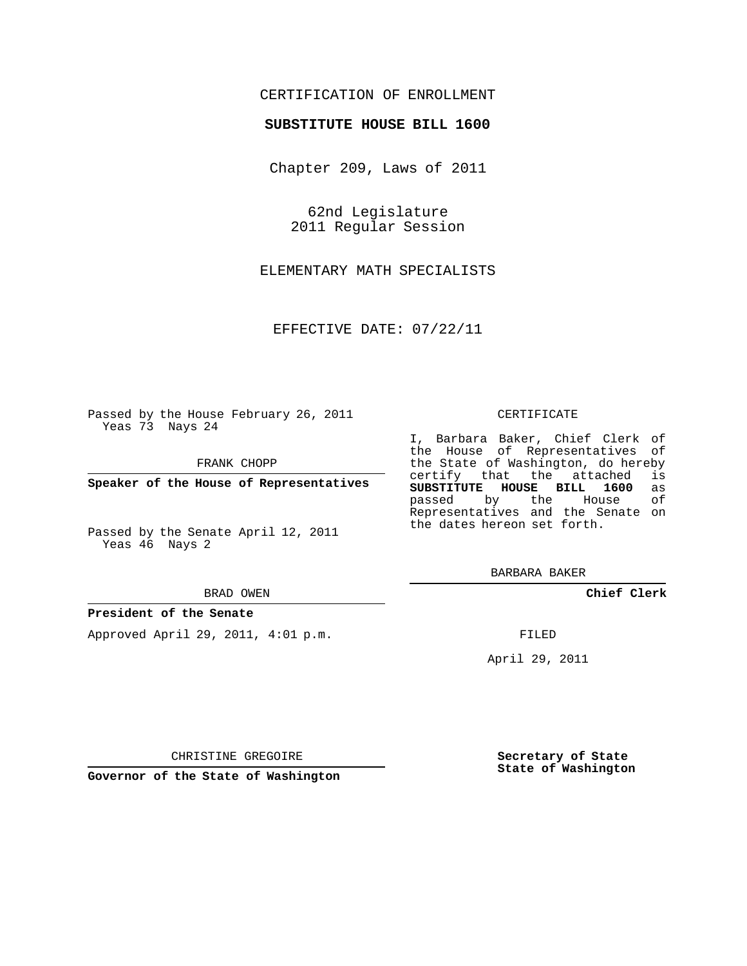## CERTIFICATION OF ENROLLMENT

### **SUBSTITUTE HOUSE BILL 1600**

Chapter 209, Laws of 2011

62nd Legislature 2011 Regular Session

ELEMENTARY MATH SPECIALISTS

EFFECTIVE DATE: 07/22/11

Passed by the House February 26, 2011 Yeas 73 Nays 24

FRANK CHOPP

**Speaker of the House of Representatives**

Passed by the Senate April 12, 2011 Yeas 46 Nays 2

#### BRAD OWEN

#### **President of the Senate**

Approved April 29, 2011, 4:01 p.m.

#### CERTIFICATE

I, Barbara Baker, Chief Clerk of the House of Representatives of the State of Washington, do hereby<br>certify that the attached is certify that the attached is<br>**SUBSTITUTE HOUSE BILL 1600** as **SUBSTITUTE HOUSE BILL 1600** as passed by the Representatives and the Senate on the dates hereon set forth.

BARBARA BAKER

**Chief Clerk**

FILED

April 29, 2011

CHRISTINE GREGOIRE

**Governor of the State of Washington**

**Secretary of State State of Washington**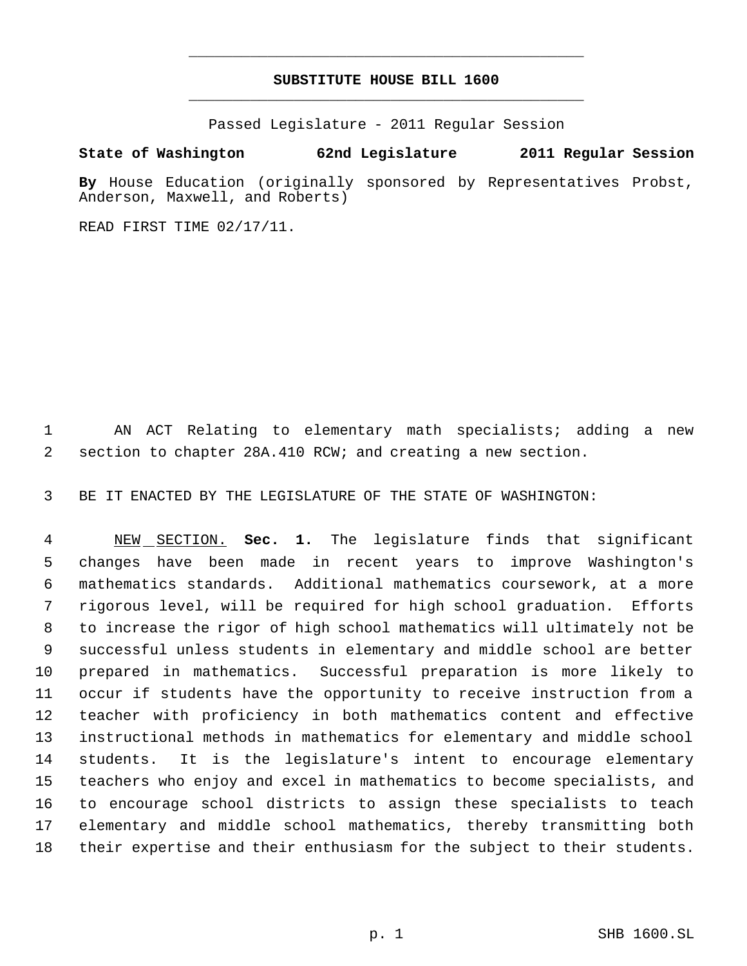# **SUBSTITUTE HOUSE BILL 1600** \_\_\_\_\_\_\_\_\_\_\_\_\_\_\_\_\_\_\_\_\_\_\_\_\_\_\_\_\_\_\_\_\_\_\_\_\_\_\_\_\_\_\_\_\_

\_\_\_\_\_\_\_\_\_\_\_\_\_\_\_\_\_\_\_\_\_\_\_\_\_\_\_\_\_\_\_\_\_\_\_\_\_\_\_\_\_\_\_\_\_

Passed Legislature - 2011 Regular Session

## **State of Washington 62nd Legislature 2011 Regular Session**

**By** House Education (originally sponsored by Representatives Probst, Anderson, Maxwell, and Roberts)

READ FIRST TIME 02/17/11.

 AN ACT Relating to elementary math specialists; adding a new section to chapter 28A.410 RCW; and creating a new section.

BE IT ENACTED BY THE LEGISLATURE OF THE STATE OF WASHINGTON:

 NEW SECTION. **Sec. 1.** The legislature finds that significant changes have been made in recent years to improve Washington's mathematics standards. Additional mathematics coursework, at a more rigorous level, will be required for high school graduation. Efforts to increase the rigor of high school mathematics will ultimately not be successful unless students in elementary and middle school are better prepared in mathematics. Successful preparation is more likely to occur if students have the opportunity to receive instruction from a teacher with proficiency in both mathematics content and effective instructional methods in mathematics for elementary and middle school students. It is the legislature's intent to encourage elementary teachers who enjoy and excel in mathematics to become specialists, and to encourage school districts to assign these specialists to teach elementary and middle school mathematics, thereby transmitting both their expertise and their enthusiasm for the subject to their students.